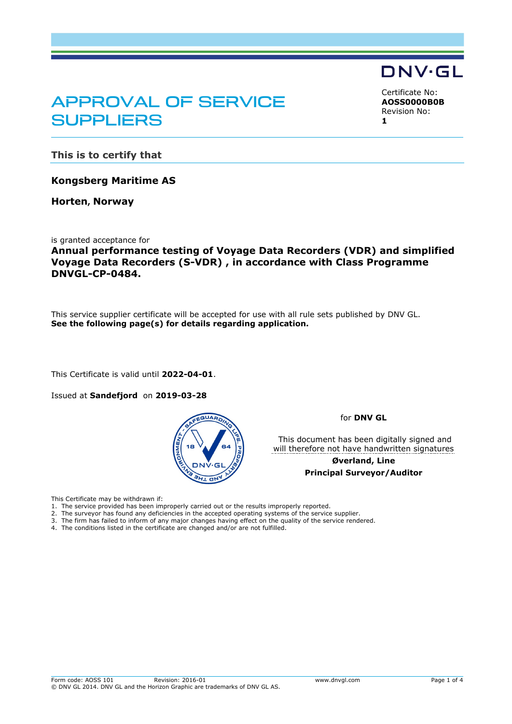## APPROVAL OF SERVICE SUPPLIERS

<span id="page-0-2"></span><span id="page-0-1"></span><span id="page-0-0"></span>Certificate No: **AOSS0000B0B** Revision No: **1**

DNV·GL

**This is to certify that**

**Kongsberg Maritime AS**

**Horten, Norway**

is granted acceptance for

**Annual performance testing of Voyage Data Recorders (VDR) and simplified Voyage Data Recorders (S-VDR) , in accordance with Class Programme DNVGL-CP-0484.**

This service supplier certificate will be accepted for use with all rule sets published by DNV GL. **See the following page(s) for details regarding application.**

This Certificate is valid until **2022-04-01**.

Issued at **Sandefjord** on **2019-03-28** 



for **DNV GL**

 This document has been digitally signed and will therefore not have handwritten signatures

> **Øverland, Line Principal Surveyor/Auditor**

This Certificate may be withdrawn if:

1. The service provided has been improperly carried out or the results improperly reported.

2. The surveyor has found any deficiencies in the accepted operating systems of the service supplier.

3. The firm has failed to inform of any major changes having effect on the quality of the service rendered.

4. The conditions listed in the certificate are changed and/or are not fulfilled.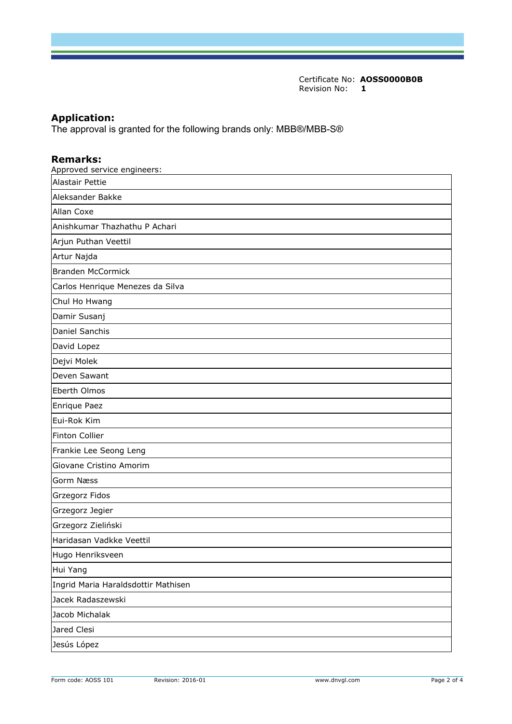Certificate No: **[AOSS0000B0B](#page-0-0)** [Revision No:](#page-0-1) **[1](#page-0-2)** 

## **Application:**

The approval is granted for the following brands only: MBB®/MBB-S®

## **Remarks:**

| Approved service engineers:         |
|-------------------------------------|
| Alastair Pettie                     |
| Aleksander Bakke                    |
| <b>Allan Coxe</b>                   |
| Anishkumar Thazhathu P Achari       |
| Arjun Puthan Veettil                |
| Artur Najda                         |
| <b>Branden McCormick</b>            |
| Carlos Henrique Menezes da Silva    |
| Chul Ho Hwang                       |
| Damir Susanj                        |
| Daniel Sanchis                      |
| David Lopez                         |
| Dejvi Molek                         |
| Deven Sawant                        |
| Eberth Olmos                        |
| Enrique Paez                        |
| Eui-Rok Kim                         |
| <b>Finton Collier</b>               |
| Frankie Lee Seong Leng              |
| Giovane Cristino Amorim             |
| Gorm Næss                           |
| Grzegorz Fidos                      |
| Grzegorz Jegier                     |
| Grzegorz Zieliński                  |
| Haridasan Vadkke Veettil            |
| Hugo Henriksveen                    |
| Hui Yang                            |
| Ingrid Maria Haraldsdottir Mathisen |
| Jacek Radaszewski                   |
| Jacob Michalak                      |
| Jared Clesi                         |
| Jesús López                         |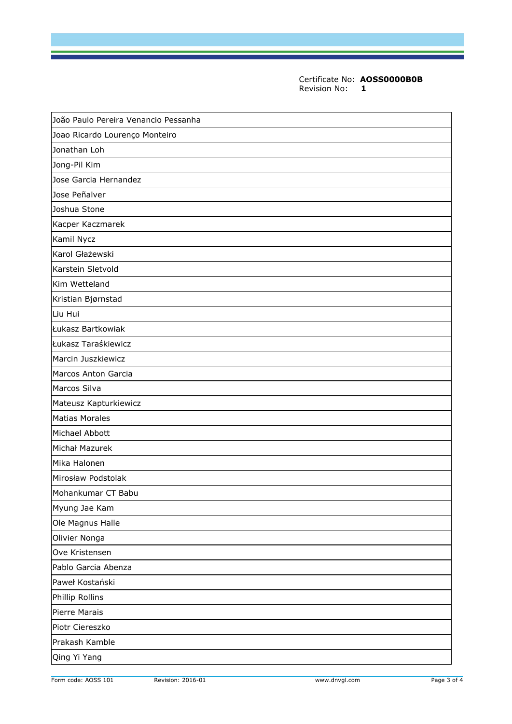Certificate No: **[AOSS0000B0B](#page-0-0)** [Revision No:](#page-0-1) **[1](#page-0-2)** 

| João Paulo Pereira Venancio Pessanha |
|--------------------------------------|
| Joao Ricardo Lourenço Monteiro       |
| Jonathan Loh                         |
| Jong-Pil Kim                         |
| Jose Garcia Hernandez                |
| Jose Peñalver                        |
| Joshua Stone                         |
| Kacper Kaczmarek                     |
| Kamil Nycz                           |
| Karol Głażewski                      |
| Karstein Sletvold                    |
| Kim Wetteland                        |
| Kristian Bjørnstad                   |
| Liu Hui                              |
| Łukasz Bartkowiak                    |
| Łukasz Taraśkiewicz                  |
| Marcin Juszkiewicz                   |
| Marcos Anton Garcia                  |
| Marcos Silva                         |
| Mateusz Kapturkiewicz                |
| <b>Matias Morales</b>                |
| Michael Abbott                       |
| Michał Mazurek                       |
| Mika Halonen                         |
| Mirosław Podstolak                   |
| Mohankumar CT Babu                   |
| Myung Jae Kam                        |
| Ole Magnus Halle                     |
| Olivier Nonga                        |
| Ove Kristensen                       |
| Pablo Garcia Abenza                  |
| Paweł Kostański                      |
| Phillip Rollins                      |
| Pierre Marais                        |
| Piotr Ciereszko                      |
| Prakash Kamble                       |
| Qing Yi Yang                         |